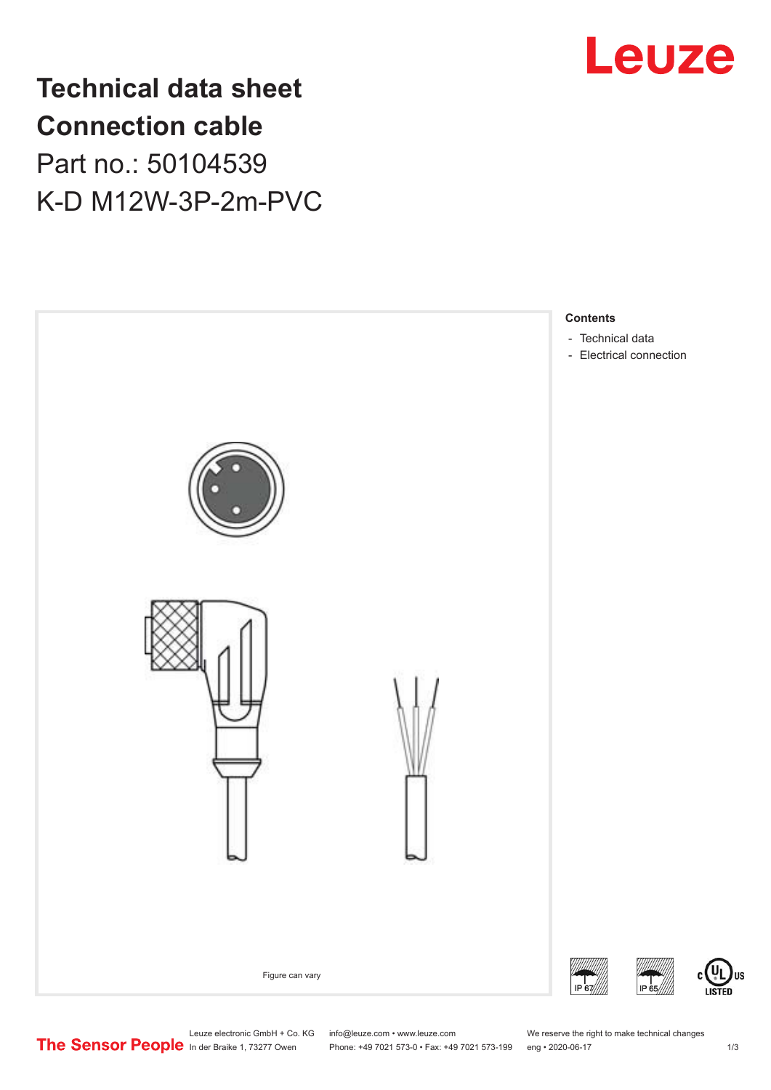

**Technical data sheet Connection cable** Part no.: 50104539 K-D M12W-3P-2m-PVC



Leuze electronic GmbH + Co. KG info@leuze.com • www.leuze.com We reserve the right to make technical changes<br>
The Sensor People in der Braike 1, 73277 Owen Phone: +49 7021 573-0 • Fax: +49 7021 573-199 eng • 2020-06-17

US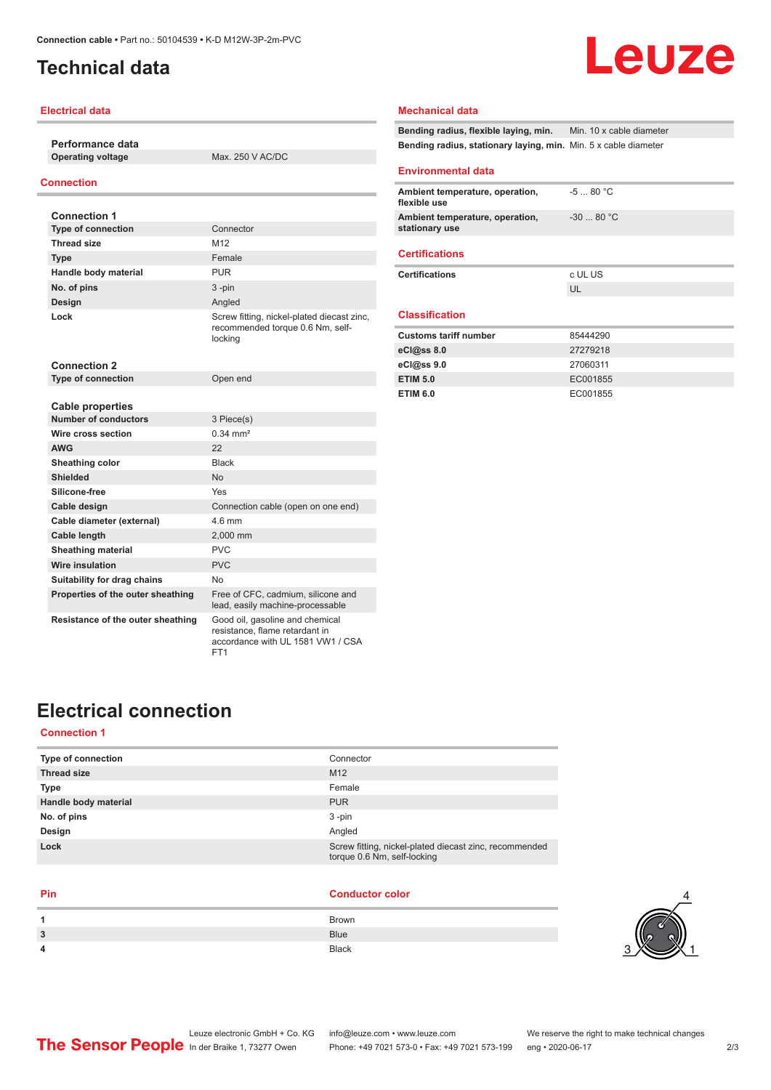## <span id="page-1-0"></span>**Technical data**

# Leuze

### **Electrical data**

**Performance data Operating voltage** Max. 250 V AC/DC

### **Connection**

| <b>Connection 1</b>                             |                                                                                                        |
|-------------------------------------------------|--------------------------------------------------------------------------------------------------------|
| <b>Type of connection</b>                       | Connector                                                                                              |
| <b>Thread size</b>                              | M12                                                                                                    |
| <b>Type</b>                                     | Female                                                                                                 |
| Handle body material                            | <b>PUR</b>                                                                                             |
| No. of pins                                     | $3 - pin$                                                                                              |
| Design                                          | Angled                                                                                                 |
| Lock                                            | Screw fitting, nickel-plated diecast zinc,<br>recommended torque 0.6 Nm, self-<br>locking              |
| <b>Connection 2</b>                             |                                                                                                        |
| <b>Type of connection</b>                       | Open end                                                                                               |
|                                                 |                                                                                                        |
| <b>Cable properties</b><br>Number of conductors |                                                                                                        |
|                                                 | 3 Piece(s)                                                                                             |
| Wire cross section                              | $0.34 \, \text{mm}^2$                                                                                  |
| <b>AWG</b>                                      | 22                                                                                                     |
| Sheathing color                                 | <b>Black</b>                                                                                           |
| Shielded                                        | <b>No</b>                                                                                              |
| Silicone-free                                   | Yes                                                                                                    |
| Cable design                                    | Connection cable (open on one end)                                                                     |
| Cable diameter (external)                       | 46 mm                                                                                                  |
| Cable length                                    | 2,000 mm                                                                                               |
| <b>Sheathing material</b>                       | <b>PVC</b>                                                                                             |
| <b>Wire insulation</b>                          | PVC                                                                                                    |
| Suitability for drag chains                     | No.                                                                                                    |
| Properties of the outer sheathing               | Free of CFC, cadmium, silicone and<br>lead, easily machine-processable                                 |
| Resistance of the outer sheathing               | Good oil, gasoline and chemical<br>resistance, flame retardant in<br>accordance with UL 1581 VW1 / CSA |

FT<sub>1</sub>

### **Mechanical data**

**Bending radius, flexible laying, min.** Min. 10 x cable diameter **Bending radius, stationary laying, min.** Min. 5 x cable diameter

**ETIM 6.0** EC001855

#### **Environmental data**

| Ambient temperature, operation,<br>flexible use   | $-580 °C$  |
|---------------------------------------------------|------------|
| Ambient temperature, operation,<br>stationary use | $-3080 °C$ |
| <b>Certifications</b>                             |            |
| <b>Certifications</b>                             | c UL US    |
|                                                   | UL         |
| <b>Classification</b>                             |            |
| <b>Customs tariff number</b>                      | 85444290   |
| eC <sub>1</sub> @ss 8.0                           | 27279218   |
| eC <sub>1</sub> @ss9.0                            | 27060311   |
| <b>ETIM 5.0</b>                                   | EC001855   |

## **Electrical connection**

### **Connection 1**

| Connector                                                                             |
|---------------------------------------------------------------------------------------|
| M <sub>12</sub>                                                                       |
| Female                                                                                |
| <b>PUR</b>                                                                            |
| $3 - pin$                                                                             |
| Angled                                                                                |
| Screw fitting, nickel-plated diecast zinc, recommended<br>torque 0.6 Nm, self-locking |
|                                                                                       |

#### **Pin Conductor color**

| <b>Brown</b> |
|--------------|
| <b>Blue</b>  |
| <b>Black</b> |
|              |